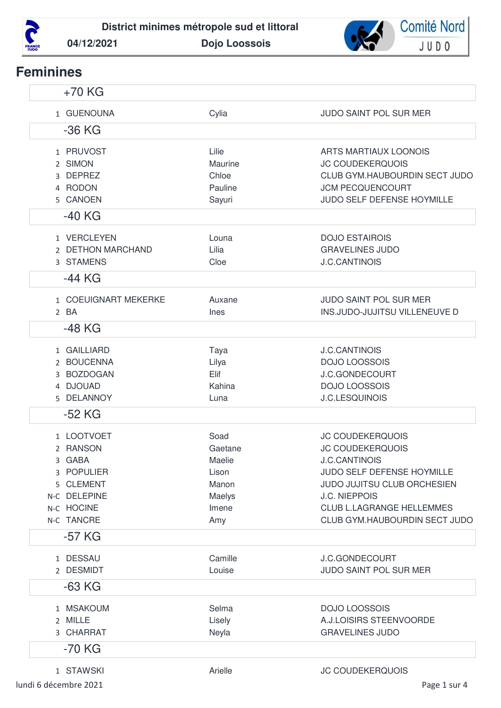



# **Feminines**

| $+70$ KG                   |                 |                                                          |
|----------------------------|-----------------|----------------------------------------------------------|
| 1 GUENOUNA                 | Cylia           | <b>JUDO SAINT POL SUR MER</b>                            |
| $-36$ KG                   |                 |                                                          |
| 1 PRUVOST                  | Lilie           | <b>ARTS MARTIAUX LOONOIS</b>                             |
| 2 SIMON                    | Maurine         | <b>JC COUDEKERQUOIS</b>                                  |
| 3 DEPREZ                   | Chloe           | CLUB GYM.HAUBOURDIN SECT JUDO                            |
| 4 RODON                    | Pauline         | <b>JCM PECQUENCOURT</b>                                  |
| 5 CANOEN                   | Sayuri          | JUDO SELF DEFENSE HOYMILLE                               |
| $-40$ KG                   |                 |                                                          |
| 1 VERCLEYEN                | Louna           | <b>DOJO ESTAIROIS</b>                                    |
| 2 DETHON MARCHAND          | Lilia           | <b>GRAVELINES JUDO</b>                                   |
| 3 STAMENS                  | Cloe            | <b>J.C.CANTINOIS</b>                                     |
| $-44$ KG                   |                 |                                                          |
| 1 COEUIGNART MEKERKE       | Auxane          | <b>JUDO SAINT POL SUR MER</b>                            |
| 2 BA                       | Ines            | INS.JUDO-JUJITSU VILLENEUVE D                            |
| $-48$ KG                   |                 |                                                          |
| 1 GAILLIARD                | Taya            | <b>J.C.CANTINOIS</b>                                     |
| 2 BOUCENNA                 | Lilya           | <b>DOJO LOOSSOIS</b>                                     |
| 3 BOZDOGAN                 | Elif            | J.C.GONDECOURT                                           |
| 4 DJOUAD                   | Kahina          | <b>DOJO LOOSSOIS</b>                                     |
| 5 DELANNOY                 | Luna            | <b>J.C.LESQUINOIS</b>                                    |
| $-52$ KG                   |                 |                                                          |
| 1 LOOTVOET                 | Soad            | <b>JC COUDEKERQUOIS</b>                                  |
| 2 RANSON                   | Gaetane         | <b>JC COUDEKERQUOIS</b>                                  |
| 3 GABA                     | Maelie          | <b>J.C.CANTINOIS</b>                                     |
| 3 POPULIER                 | Lison           | JUDO SELF DEFENSE HOYMILLE                               |
| 5 CLEMENT                  | Manon           | JUDO JUJITSU CLUB ORCHESIEN                              |
| N-C DELEPINE<br>N-C HOCINE | Maelys          | <b>J.C. NIEPPOIS</b><br><b>CLUB L.LAGRANGE HELLEMMES</b> |
| N-C TANCRE                 | Imene<br>Amy    | CLUB GYM.HAUBOURDIN SECT JUDO                            |
| $-57$ KG                   |                 |                                                          |
| 1 DESSAU                   | Camille         |                                                          |
| 2 DESMIDT                  | Louise          | J.C.GONDECOURT<br>JUDO SAINT POL SUR MER                 |
| $-63$ KG                   |                 |                                                          |
|                            |                 |                                                          |
| 1 MSAKOUM<br>2 MILLE       | Selma<br>Lisely | <b>DOJO LOOSSOIS</b><br>A.J.LOISIRS STEENVOORDE          |
| 3 CHARRAT                  | Neyla           | <b>GRAVELINES JUDO</b>                                   |
| $-70$ KG                   |                 |                                                          |
|                            |                 |                                                          |
| 1 STAWSKI                  | Arielle         | <b>JC COUDEKERQUOIS</b>                                  |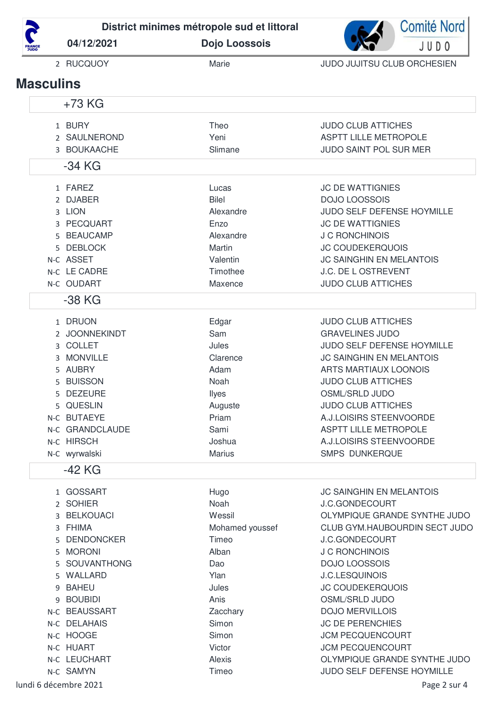

**04/12/2021 Dojo Loossois**



|                  | 2 RUCQUOY       | Marie         | JUDO JUJITSU CLUB ORCHESIEN     |
|------------------|-----------------|---------------|---------------------------------|
| <b>Masculins</b> |                 |               |                                 |
|                  | $+73$ KG        |               |                                 |
|                  | 1 BURY          | Theo          | <b>JUDO CLUB ATTICHES</b>       |
|                  | 2 SAULNEROND    | Yeni          | <b>ASPTT LILLE METROPOLE</b>    |
|                  | 3 BOUKAACHE     | Slimane       | JUDO SAINT POL SUR MER          |
|                  | -34 KG          |               |                                 |
|                  | 1 FAREZ         | Lucas         | <b>JC DE WATTIGNIES</b>         |
|                  | 2 DJABER        | <b>Bilel</b>  | <b>DOJO LOOSSOIS</b>            |
|                  | 3 LION          | Alexandre     | JUDO SELF DEFENSE HOYMILLE      |
|                  | 3 PECQUART      | Enzo          | <b>JC DE WATTIGNIES</b>         |
|                  | 5 BEAUCAMP      | Alexandre     | J C RONCHINOIS                  |
|                  | 5 DEBLOCK       | Martin        | <b>JC COUDEKERQUOIS</b>         |
|                  | N-C ASSET       | Valentin      | <b>JC SAINGHIN EN MELANTOIS</b> |
|                  | N-C LE CADRE    | Timothee      | J.C. DE L OSTREVENT             |
|                  | N-C OUDART      | Maxence       | <b>JUDO CLUB ATTICHES</b>       |
|                  | $-38$ KG        |               |                                 |
|                  | 1 DRUON         | Edgar         | <b>JUDO CLUB ATTICHES</b>       |
|                  | 2 JOONNEKINDT   | Sam           | <b>GRAVELINES JUDO</b>          |
|                  | 3 COLLET        | Jules         | JUDO SELF DEFENSE HOYMILLE      |
|                  | 3 MONVILLE      | Clarence      | <b>JC SAINGHIN EN MELANTOIS</b> |
|                  | 5 AUBRY         | Adam          | <b>ARTS MARTIAUX LOONOIS</b>    |
|                  | 5 BUISSON       | Noah          | <b>JUDO CLUB ATTICHES</b>       |
|                  | 5 DEZEURE       | <b>Ilyes</b>  | <b>OSML/SRLD JUDO</b>           |
|                  | 5 QUESLIN       | Auguste       | <b>JUDO CLUB ATTICHES</b>       |
|                  | N-C BUTAEYE     | Priam         | A.J.LOISIRS STEENVOORDE         |
|                  | N-C GRANDCLAUDE | Sami          | <b>ASPTT LILLE METROPOLE</b>    |
|                  | N-C HIRSCH      | Joshua        | A.J.LOISIRS STEENVOORDE         |
|                  | N-C wyrwalski   | <b>Marius</b> | <b>SMPS DUNKERQUE</b>           |
|                  | -42 KG          |               |                                 |
|                  | 1 GOSSART       | Hugo          | <b>JC SAINGHIN EN MELANTOIS</b> |

|                       | 2 SOHIER      | Noah            | <b>J.C.GONDECOURT</b>         |
|-----------------------|---------------|-----------------|-------------------------------|
|                       | 3 BELKOUACI   | Wessil          | OLYMPIQUE GRANDE SYNTHE JUDO  |
|                       | 3 FHIMA       | Mohamed youssef | CLUB GYM.HAUBOURDIN SECT JUDO |
|                       | 5 DENDONCKER  | Timeo           | <b>J.C.GONDECOURT</b>         |
|                       | 5 MORONI      | Alban           | <b>J C RONCHINOIS</b>         |
|                       | 5 SOUVANTHONG | Dao             | <b>DOJO LOOSSOIS</b>          |
|                       | 5 WALLARD     | Ylan            | <b>J.C.LESQUINOIS</b>         |
|                       | 9 BAHEU       | Jules           | <b>JC COUDEKERQUOIS</b>       |
|                       | 9 BOUBIDI     | Anis            | OSML/SRLD JUDO                |
|                       | N-C BEAUSSART | Zacchary        | <b>DOJO MERVILLOIS</b>        |
|                       | N-C DELAHAIS  | Simon           | <b>JC DE PERENCHIES</b>       |
|                       | N-C HOOGE     | Simon           | <b>JCM PECQUENCOURT</b>       |
|                       | N-C HUART     | Victor          | <b>JCM PECQUENCOURT</b>       |
|                       | N-C LEUCHART  | Alexis          | OLYMPIQUE GRANDE SYNTHE JUDO  |
|                       | N-C SAMYN     | Timeo           | JUDO SELF DEFENSE HOYMILLE    |
| lundi 6 décembre 2021 |               |                 | Page 2 sur 4                  |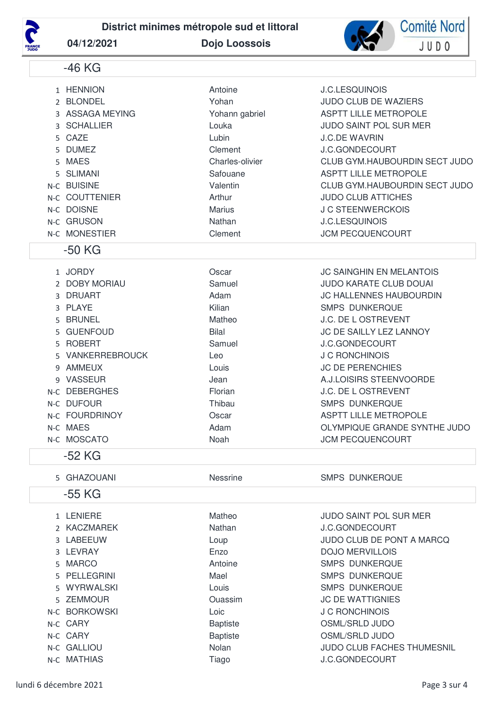

**District minimes métropole sud et littoral**

**04/12/2021 Dojo Loossois**





### -50 KG

| 1 JORDY          | Oscar   | <b>JC SAINGHIN EN MELANTOIS</b> |
|------------------|---------|---------------------------------|
| 2 DOBY MORIAU    | Samuel  | <b>JUDO KARATE CLUB DOUAI</b>   |
| 3 DRUART         | Adam    | <b>JC HALLENNES HAUBOURDIN</b>  |
| 3 PLAYE          | Kilian  | SMPS DUNKERQUE                  |
| 5 BRUNEL         | Matheo  | <b>J.C. DE L OSTREVENT</b>      |
| 5 GUENFOUD       | Bilal   | <b>JC DE SAILLY LEZ LANNOY</b>  |
| 5 ROBERT         | Samuel  | <b>J.C.GONDECOURT</b>           |
| 5 VANKERREBROUCK | Leo     | J C RONCHINOIS                  |
| 9 AMMEUX         | Louis   | <b>JC DE PERENCHIES</b>         |
| 9 VASSEUR        | Jean    | A.J.LOISIRS STEENVOORDE         |
| N-C DEBERGHES    | Florian | J.C. DE L OSTREVENT             |
| N-C DUFOUR       | Thibau  | <b>SMPS DUNKERQUE</b>           |
| N-C FOURDRINOY   | Oscar   | <b>ASPTT LILLE METROPOLE</b>    |
| N-C MAES         | Adam    | OLYMPIQUE GRANDE SYNTHE JUDO    |
| N-C MOSCATO      | Noah    | <b>JCM PECQUENCOURT</b>         |

## -52 KG

5 GHAZOUANI Nessrine SMPS DUNKERQUE

#### -55 KG

| 1 LENIERE     | Matheo          | <b>JUDO SAINT POL SUR MER</b>     |
|---------------|-----------------|-----------------------------------|
| 2 KACZMAREK   | <b>Nathan</b>   | <b>J.C.GONDECOURT</b>             |
| 3 LABEEUW     | Loup            | <b>JUDO CLUB DE PONT A MARCQ</b>  |
| 3 LEVRAY      | Enzo            | <b>DOJO MERVILLOIS</b>            |
| 5 MARCO       | Antoine         | <b>SMPS DUNKERQUE</b>             |
| 5 PELLEGRINI  | Mael            | <b>SMPS DUNKERQUE</b>             |
| 5 WYRWALSKI   | Louis           | <b>SMPS DUNKERQUE</b>             |
| 5 ZEMMOUR     | Ouassim         | <b>JC DE WATTIGNIES</b>           |
| N-C BORKOWSKI | Loic            | J C RONCHINOIS                    |
| N-C CARY      | <b>Baptiste</b> | OSML/SRLD JUDO                    |
| N-C CARY      | <b>Baptiste</b> | OSML/SRLD JUDO                    |
| N-C GALLIOU   | Nolan           | <b>JUDO CLUB FACHES THUMESNIL</b> |
| N-C MATHIAS   | Tiago           | <b>J.C.GONDECOURT</b>             |

**Comité Nord** 

JUDO